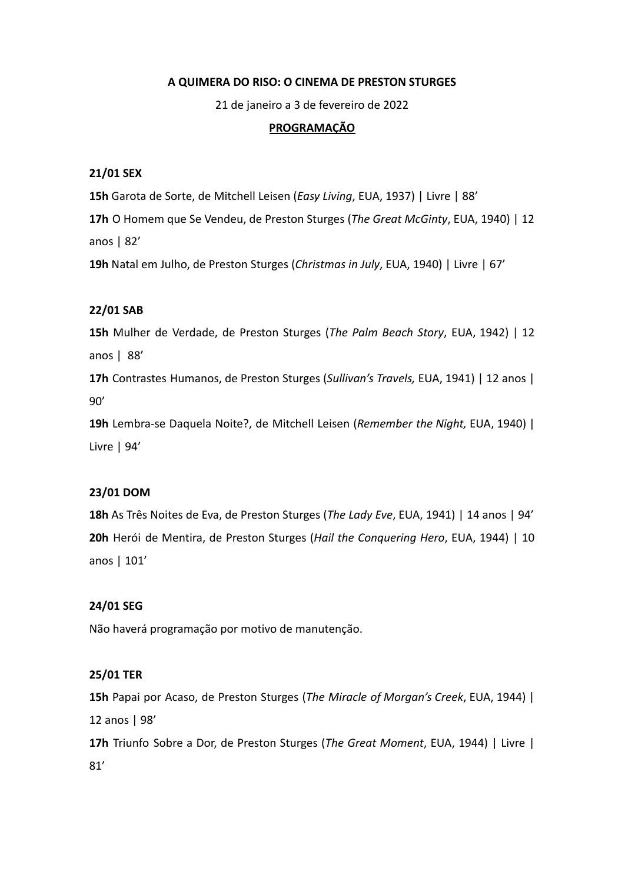### **A QUIMERA DO RISO: O CINEMA DE PRESTON STURGES**

21 de janeiro a 3 de fevereiro de 2022

### **PROGRAMAÇÃO**

### **21/01 SEX**

**15h** Garota de Sorte, de Mitchell Leisen (*Easy Living*, EUA, 1937) | Livre | 88'

**17h** O Homem que Se Vendeu, de Preston Sturges (*The Great McGinty*, EUA, 1940) | 12 anos | 82'

**19h** Natal em Julho, de Preston Sturges (*Christmas in July*, EUA, 1940) | Livre | 67'

### **22/01 SAB**

**15h** Mulher de Verdade, de Preston Sturges (*The Palm Beach Story*, EUA, 1942) | 12 anos | 88'

**17h** Contrastes Humanos, de Preston Sturges (*Sullivan's Travels,* EUA, 1941) | 12 anos | 90'

**19h** Lembra-se Daquela Noite?, de Mitchell Leisen (*Remember the Night,* EUA, 1940) | Livre | 94'

## **23/01 DOM**

**18h** As Três Noites de Eva, de Preston Sturges (*The Lady Eve*, EUA, 1941) | 14 anos | 94' **20h** Herói de Mentira, de Preston Sturges (*Hail the Conquering Hero*, EUA, 1944) | 10 anos | 101'

#### **24/01 SEG**

Não haverá programação por motivo de manutenção.

### **25/01 TER**

**15h** Papai por Acaso, de Preston Sturges (*The Miracle of Morgan's Creek*, EUA, 1944) | 12 anos | 98'

**17h** Triunfo Sobre a Dor, de Preston Sturges (*The Great Moment*, EUA, 1944) | Livre | 81'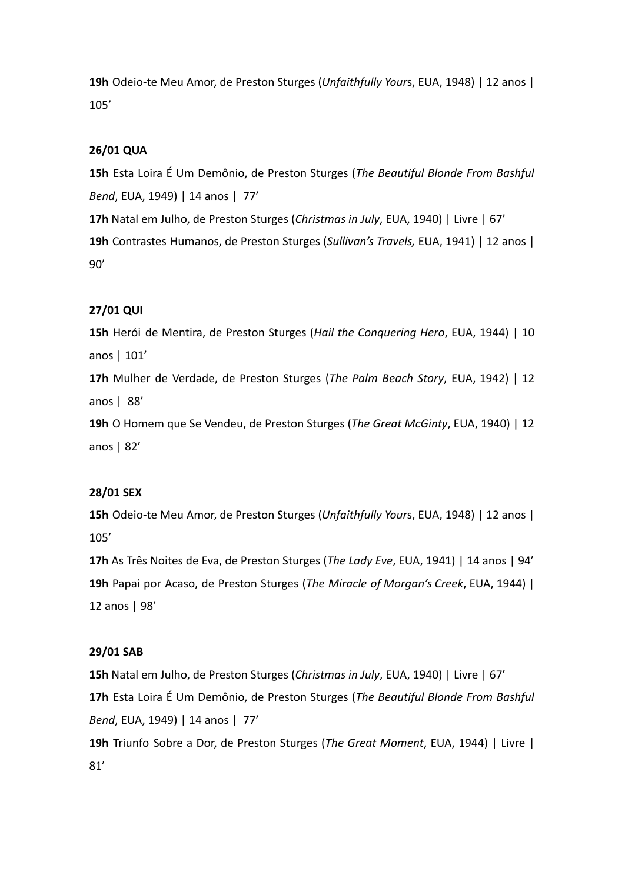**19h** Odeio-te Meu Amor, de Preston Sturges (*Unfaithfully Your*s, EUA, 1948) | 12 anos | 105'

# **26/01 QUA**

**15h** Esta Loira É Um Demônio, de Preston Sturges (*The Beautiful Blonde From Bashful Bend*, EUA, 1949) | 14 anos | 77'

**17h** Natal em Julho, de Preston Sturges (*Christmas in July*, EUA, 1940) | Livre | 67'

**19h** Contrastes Humanos, de Preston Sturges (*Sullivan's Travels,* EUA, 1941) | 12 anos | 90'

# **27/01 QUI**

**15h** Herói de Mentira, de Preston Sturges (*Hail the Conquering Hero*, EUA, 1944) | 10 anos | 101'

**17h** Mulher de Verdade, de Preston Sturges (*The Palm Beach Story*, EUA, 1942) | 12 anos | 88'

**19h** O Homem que Se Vendeu, de Preston Sturges (*The Great McGinty*, EUA, 1940) | 12 anos | 82'

## **28/01 SEX**

**15h** Odeio-te Meu Amor, de Preston Sturges (*Unfaithfully Your*s, EUA, 1948) | 12 anos | 105'

**17h** As Três Noites de Eva, de Preston Sturges (*The Lady Eve*, EUA, 1941) | 14 anos | 94' **19h** Papai por Acaso, de Preston Sturges (*The Miracle of Morgan's Creek*, EUA, 1944) | 12 anos | 98'

## **29/01 SAB**

**15h** Natal em Julho, de Preston Sturges (*Christmas in July*, EUA, 1940) | Livre | 67' **17h** Esta Loira É Um Demônio, de Preston Sturges (*The Beautiful Blonde From Bashful Bend*, EUA, 1949) | 14 anos | 77' **19h** Triunfo Sobre a Dor, de Preston Sturges (*The Great Moment*, EUA, 1944) | Livre |

81'